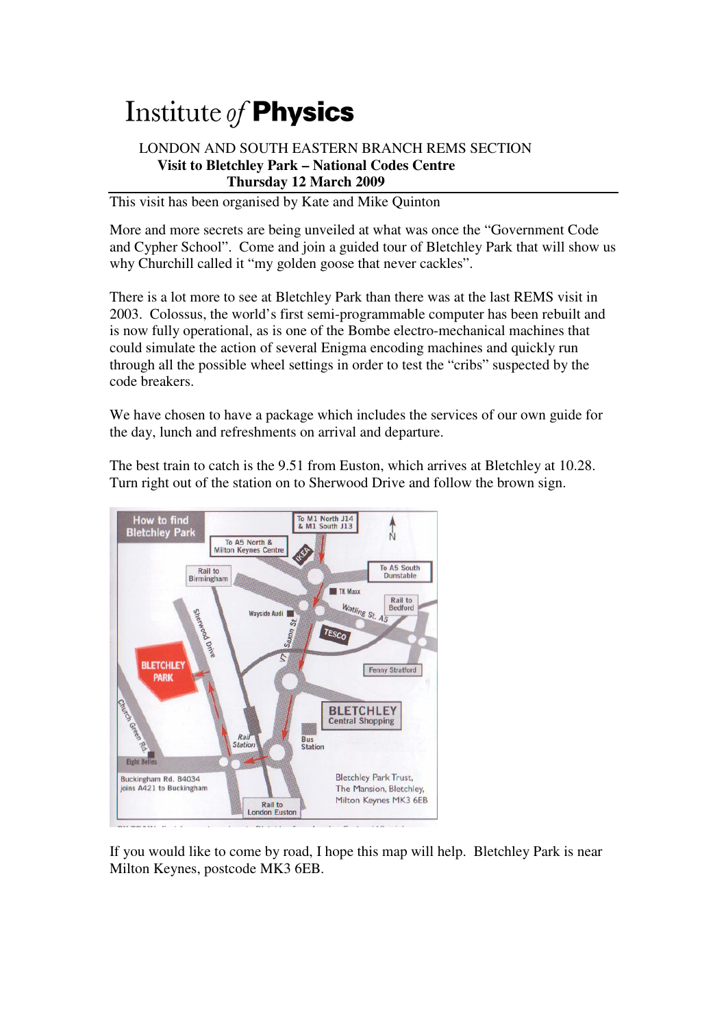## Institute of **Physics**

## LONDON AND SOUTH EASTERN BRANCH REMS SECTION  **Visit to Bletchley Park – National Codes Centre Thursday 12 March 2009**

This visit has been organised by Kate and Mike Quinton

More and more secrets are being unveiled at what was once the "Government Code and Cypher School". Come and join a guided tour of Bletchley Park that will show us why Churchill called it "my golden goose that never cackles".

There is a lot more to see at Bletchley Park than there was at the last REMS visit in 2003. Colossus, the world's first semi-programmable computer has been rebuilt and is now fully operational, as is one of the Bombe electro-mechanical machines that could simulate the action of several Enigma encoding machines and quickly run through all the possible wheel settings in order to test the "cribs" suspected by the code breakers.

We have chosen to have a package which includes the services of our own guide for the day, lunch and refreshments on arrival and departure.

The best train to catch is the 9.51 from Euston, which arrives at Bletchley at 10.28. Turn right out of the station on to Sherwood Drive and follow the brown sign.



If you would like to come by road, I hope this map will help. Bletchley Park is near Milton Keynes, postcode MK3 6EB.